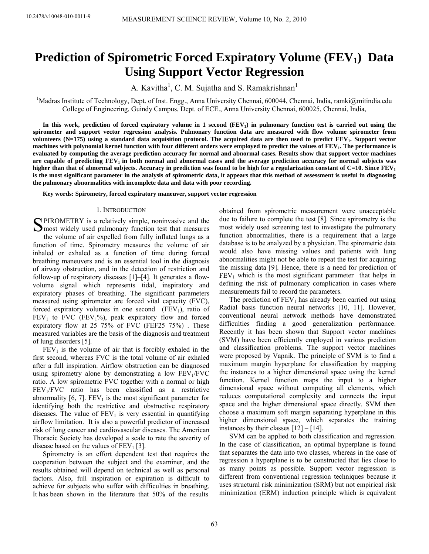# **Prediction of Spirometric Forced Expiratory Volume (FEV<sub>1</sub>) Data Using Support Vector Regression**

A. Kavitha<sup>1</sup>, C. M. Sujatha and S. Ramakrishnan<sup>1</sup>

<sup>1</sup>Madras Institute of Technology, Dept. of Inst. Engg., Anna University Chennai, 600044, Chennai, India, ramki@mitindia.edu College of Engineering, Guindy Campus, Dept. of ECE., Anna University Chennai, 600025, Chennai, India,

In this work, prediction of forced expiratory volume in 1 second (FEV<sub>1</sub>) in pulmonary function test is carried out using the **spirometer and support vector regression analysis. Pulmonary function data are measured with flow volume spirometer from**  volunteers (N=175) using a standard data acquisition protocol. The acquired data are then used to predict FEV<sub>1</sub>. Support vector machines with polynomial kernel function with four different orders were employed to predict the values of FEV<sub>1</sub>. The performance is **evaluated by computing the average prediction accuracy for normal and abnormal cases. Results show that support vector machines** are capable of predicting FEV<sub>1</sub> in both normal and abnormal cases and the average prediction accuracy for normal subjects was higher than that of abnormal subjects. Accuracy in prediction was found to be high for a regularization constant of  $C=10$ . Since  $FEV<sub>1</sub>$ **is the most significant parameter in the analysis of spirometric data, it appears that this method of assessment is useful in diagnosing the pulmonary abnormalities with incomplete data and data with poor recording.** 

**Key words: Spirometry, forced expiratory maneuver, support vector regression**

### 1. INTRODUCTION

SPIROMETRY is a relatively simple, noninvasive and the most widely used pulmoary function test that measures  $\sum$  most widely used pulmonary function test that measures the volume of air expelled from fully inflated lungs as a function of time. Spirometry measures the volume of air inhaled or exhaled as a function of time during forced breathing maneuvers and is an essential tool in the diagnosis of airway obstruction, and in the detection of restriction and follow-up of respiratory diseases [1]–[4]. It generates a flowvolume signal which represents tidal, inspiratory and expiratory phases of breathing. The significant parameters measured using spirometer are forced vital capacity (FVC), forced expiratory volumes in one second  $(FEV_1)$ , ratio of  $FEV<sub>1</sub>$  to FVC (FEV<sub>1</sub>%), peak expiratory flow and forced expiratory flow at 25–75% of FVC (FEF25–75%) . These measured variables are the basis of the diagnosis and treatment of lung disorders [5].

 $FEV<sub>1</sub>$  is the volume of air that is forcibly exhaled in the first second, whereas FVC is the total volume of air exhaled after a full inspiration. Airflow obstruction can be diagnosed using spirometry alone by demonstrating a low  $FEV<sub>1</sub>/FVC$ ratio. A low spirometric FVC together with a normal or high FEV1/FVC ratio has been classified as a restrictive abnormality  $[6, 7]$ . FEV<sub>1</sub> is the most significant parameter for identifying both the restrictive and obstructive respiratory diseases. The value of  $FEV<sub>1</sub>$  is very essential in quantifying airflow limitation. It is also a powerful predictor of increased risk of lung cancer and cardiovascular diseases. The American Thoracic Society has developed a scale to rate the severity of disease based on the values of  $FEV<sub>1</sub>$  [3].

Spirometry is an effort dependent test that requires the cooperation between the subject and the examiner, and the results obtained will depend on technical as well as personal factors. Also, full inspiration or expiration is difficult to achieve for subjects who suffer with difficulties in breathing. It has been shown in the literature that 50% of the results

obtained from spirometric measurement were unacceptable due to failure to complete the test [8]. Since spirometry is the most widely used screening test to investigate the pulmonary function abnormalities, there is a requirement that a large database is to be analyzed by a physician. The spirometric data would also have missing values and patients with lung abnormalities might not be able to repeat the test for acquiring the missing data [9]. Hence, there is a need for prediction of  $FEV<sub>1</sub>$  which is the most significant parameter that helps in defining the risk of pulmonary complication in cases where measurements fail to record the parameters.

The prediction of  $FEV<sub>1</sub>$  has already been carried out using Radial basis function neural networks [10, 11]. However, conventional neural network methods have demonstrated difficulties finding a good generalization performance. Recently it has been shown that Support vector machines (SVM) have been efficiently employed in various prediction and classification problems. The support vector machines were proposed by Vapnik. The principle of SVM is to find a maximum margin hyperplane for classification by mapping the instances to a higher dimensional space using the kernel function. Kernel function maps the input to a higher dimensional space without computing all elements, which reduces computational complexity and connects the input space and the higher dimensional space directly. SVM then choose a maximum soft margin separating hyperplane in this higher dimensional space, which separates the training instances by their classes [12] – [14].

SVM can be applied to both classification and regression. In the case of classification, an optimal hyperplane is found that separates the data into two classes, whereas in the case of regression a hyperplane is to be constructed that lies close to as many points as possible. Support vector regression is different from conventional regression techniques because it uses structural risk minimization (SRM) but not empirical risk minimization (ERM) induction principle which is equivalent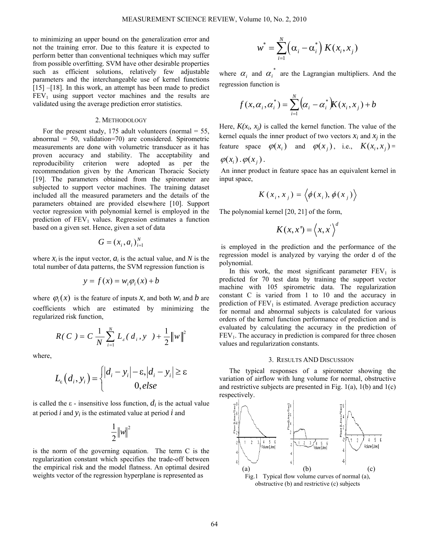to minimizing an upper bound on the generalization error and not the training error. Due to this feature it is expected to perform better than conventional techniques which may suffer from possible overfitting. SVM have other desirable properties such as efficient solutions, relatively few adjustable parameters and the interchangeable use of kernel functions [15] –[18]. In this work, an attempt has been made to predict  $FEV<sub>1</sub>$  using support vector machines and the results are validated using the average prediction error statistics.

## 2. METHODOLOGY

For the present study, 175 adult volunteers (normal  $=$  55, abnormal = 50, validation=70) are considered. Spirometric measurements are done with volumetric transducer as it has proven accuracy and stability. The acceptability and reproducibility criterion were adopted as per the recommendation given by the American Thoracic Society [19]. The parameters obtained from the spirometer are subjected to support vector machines. The training dataset included all the measured parameters and the details of the parameters obtained are provided elsewhere [10]. Support vector regression with polynomial kernel is employed in the prediction of  $FEV<sub>1</sub>$  values. Regression estimates a function based on a given set. Hence, given a set of data

$$
G=(x_i,a_i)_{i=1}^N
$$

where  $x_i$  is the input vector,  $a_i$  is the actual value, and N is the total number of data patterns, the SVM regression function is

$$
y = f(x) = w_i \varphi_i(x) + b
$$

where  $\varphi_i(x)$  is the feature of inputs *x*, and both  $w_i$  and *b* are coefficients which are estimated by minimizing the regularized risk function,

$$
R(C) = C \frac{1}{N} \sum_{i=1}^{N} L_{\varepsilon}(d_i, y) + \frac{1}{2} ||w||^2
$$

where,

$$
L_{\varepsilon}\left(d_{i}, y_{i}\right) = \begin{cases} |d_{i} - y_{i}| - \varepsilon, |d_{i} - y_{i}| \geq \varepsilon\\ 0, else \end{cases}
$$

is called the  $\varepsilon$  - insensitive loss function,  $d_i$  is the actual value at period  $i$  and  $y_i$  is the estimated value at period  $i$  and

$$
\frac{1}{2}\left\Vert w\right\Vert ^{2}
$$

is the norm of the governing equation. The term C is the regularization constant which specifies the trade-off between the empirical risk and the model flatness. An optimal desired weights vector of the regression hyperplane is represented as

$$
w^* = \sum_{i=1}^N (\alpha_i - \alpha_i^*) K(x_i, x_j)
$$

where  $\alpha_i$  and  $\alpha_i^*$  are the Lagrangian multipliers. And the regression function is

$$
f(x, \alpha_i, \alpha_i^*) = \sum_{i=1}^N (\alpha_i - \alpha_i^*) K(x_i, x_j) + b
$$

Here,  $K(x_i, x_j)$  is called the kernel function. The value of the kernel equals the inner product of two vectors  $x_i$  and  $x_j$  in the feature space  $\varphi(x_i)$  and  $\varphi(x_i)$ , i.e.,  $K(x_i, x_i) =$ 

 $\varphi(x_i) \cdot \varphi(x_i)$ .

An inner product in feature space has an equivalent kernel in input space,

$$
K(x_i, x_j) = \langle \phi(x_i), \phi(x_j) \rangle
$$

The polynomial kernel [20, 21] of the form,

$$
K(x,x') = \langle x,x' \rangle^d
$$

 is employed in the prediction and the performance of the regression model is analyzed by varying the order d of the polynomial.

In this work, the most significant parameter  $FEV<sub>1</sub>$  is predicted for 70 test data by training the support vector machine with 105 spirometric data. The regularization constant C is varied from 1 to 10 and the accuracy in prediction of  $FEV<sub>1</sub>$  is estimated. Average prediction accuracy for normal and abnormal subjects is calculated for various orders of the kernel function performance of prediction and is evaluated by calculating the accuracy in the prediction of  $FEV<sub>1</sub>$ . The accuracy in prediction is compared for three chosen values and regularization constants.

#### 3. RESULTS AND DISCUSSION

The typical responses of a spirometer showing the variation of airflow with lung volume for normal, obstructive and restrictive subjects are presented in Fig.  $1(a)$ ,  $1(b)$  and  $1(c)$ respectively.



obstructive (b) and restrictive (c) subjects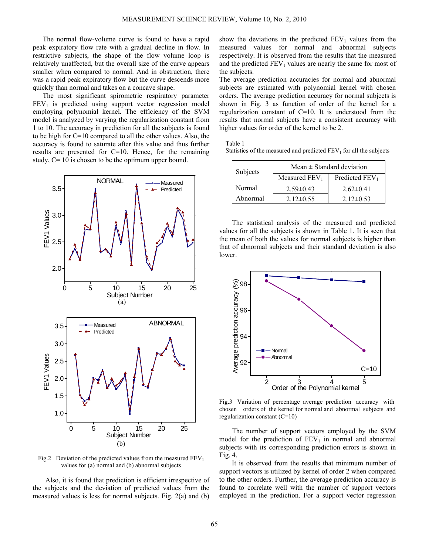The normal flow-volume curve is found to have a rapid peak expiratory flow rate with a gradual decline in flow. In restrictive subjects, the shape of the flow volume loop is relatively unaffected, but the overall size of the curve appears smaller when compared to normal. And in obstruction, there was a rapid peak expiratory flow but the curve descends more quickly than normal and takes on a concave shape.

The most significant spirometric respiratory parameter  $FEV<sub>1</sub>$  is predicted using support vector regression model employing polynomial kernel. The efficiency of the SVM model is analyzed by varying the regularization constant from 1 to 10. The accuracy in prediction for all the subjects is found to be high for C=10 compared to all the other values. Also, the accuracy is found to saturate after this value and thus further results are presented for C=10. Hence, for the remaining study,  $C = 10$  is chosen to be the optimum upper bound.



Fig.2 Deviation of the predicted values from the measured  $FEV<sub>1</sub>$ values for (a) normal and (b) abnormal subjects

Also, it is found that prediction is efficient irrespective of the subjects and the deviation of predicted values from the measured values is less for normal subjects. Fig. 2(a) and (b) show the deviations in the predicted  $FEV<sub>1</sub>$  values from the measured values for normal and abnormal subjects respectively. It is observed from the results that the measured and the predicted  $FEV<sub>1</sub>$  values are nearly the same for most of the subjects.

The average prediction accuracies for normal and abnormal subjects are estimated with polynomial kernel with chosen orders. The average prediction accuracy for normal subjects is shown in Fig. 3 as function of order of the kernel for a regularization constant of C=10. It is understood from the results that normal subjects have a consistent accuracy with higher values for order of the kernel to be 2.

Table 1

Statistics of the measured and predicted  $FEV<sub>1</sub>$  for all the subjects

| Subjects | Mean $\pm$ Standard deviation |                  |
|----------|-------------------------------|------------------|
|          | Measured $FEV1$               | Predicted $FEV1$ |
| Normal   | $2.59\pm0.43$                 | $2.62\pm0.41$    |
| Abnormal | $2.12\pm 0.55$                | $2.12\pm0.53$    |

The statistical analysis of the measured and predicted values for all the subjects is shown in Table 1. It is seen that the mean of both the values for normal subjects is higher than that of abnormal subjects and their standard deviation is also lower.



Fig.3 Variation of percentage average prediction accuracy with chosen orders of the kernel for normal and abnormal subjects and regularization constant (C=10)

The number of support vectors employed by the SVM model for the prediction of  $FEV<sub>1</sub>$  in normal and abnormal subjects with its corresponding prediction errors is shown in Fig. 4.

It is observed from the results that minimum number of support vectors is utilized by kernel of order 2 when compared to the other orders. Further, the average prediction accuracy is found to correlate well with the number of support vectors employed in the prediction. For a support vector regression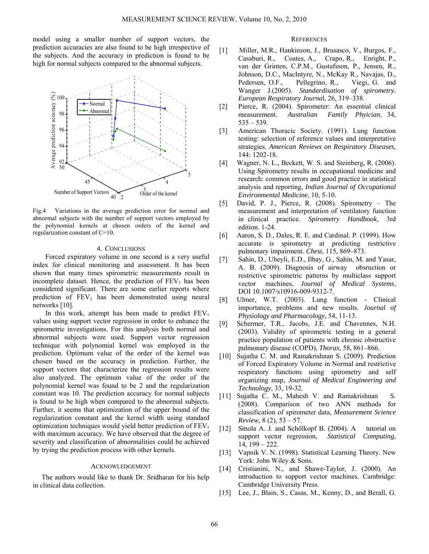model using a smaller number of support vectors, the prediction accuracies are also found to be high irrespective of the subjects. And the accuracy in prediction is found to be high for normal subjects compared to the abnormal subjects.



Fig.4 Variations in the average prediction error for normal and abnormal subjects with the number of support vectors employed by the polynomial kernels at chosen orders of the kernel and regularization constant of C=10.

## 4. CONCLUSIONS

Forced expiratory volume in one second is a very useful index for clinical monitoring and assessment. It has been shown that many times spirometric measurements result in incomplete dataset. Hence, the prediction of  $FEV<sub>1</sub>$  has been considered significant. There are some earlier reports where prediction of  $FEV_1$  has been demonstrated using neural networks [10].

In this work, attempt has been made to predict  $FEV<sub>1</sub>$ values using support vector regression in order to enhance the spirometric investigations. For this analysis both normal and abnormal subjects were used. Support vector regression technique with polynomial kernel was employed in the prediction. Optimum value of the order of the kernel was chosen based on the accuracy in prediction. Further, the support vectors that characterize the regression results were also analyzed. The optimum value of the order of the polynomial kernel was found to be 2 and the regularization constant was 10. The prediction accuracy for normal subjects is found to be high when compared to the abnormal subjects. Further, it seems that optimization of the upper bound of the regularization constant and the kernel width using standard optimization techniques would yield better prediction of  $FEV<sub>1</sub>$ with maximum accuracy. We have observed that the degree of severity and classification of abnormalities could be achieved by trying the prediction process with other kernels.

## ACKNOWLEDGEMENT

 The authors would like to thank Dr. Sridharan for his help in clinical data collection.

# **REFERENCES**

- [1] Miller, M.R., Hankinson, J., Brusasco, V., Burgos, F., Casaburi, R., Coates, A., Crapo, R., Enright, P., van der Grinten, C.P.M., Gustafsson, P., Jensen, R., Johnson, D.C., MacIntyre, N., McKay R., Navajas, D., Pedersen, O.F., Pellegrino, R., Viegi, G. and Wanger J.(2005). *Standardisation of spirometry. European Respiratory Journa*l, 26, 319–338.
- [2] Pierce, R. (2004). Spirometer: An essential clinical measurement. *Australian Family Phyician*, 34, 535 – 539.
- [3] American Thoracic Society. (1991). Lung function testing: selection of reference values and interpretative strategies. *American Reviews on Respiratory Diseases,* 144: 1202-18.
- [4] Wagner, N. L., Beckett, W. S. and Steinberg, R. (2006). Using Spirometry results in occupational medicine and research: common errors and good practice in statistical analysis and reporting, *Indian Journal of Occupational Environmental Medicine*, 10, 5-10.
- [5] David, P. J., Pierce, R. (2008). Spirometry The measurement and interpretation of ventilatory function in clinical practice. *Spirometry Handbook*, 3rd edition. 1-24.
- [6] Aaron, S. D., Dales, R. E. and Cardinal. P. (1999). How accurate is spirometry at predicting restrictive pulmonary impairment. *Chest*, 115, 869–873.
- [7] Sahin, D., Ubeyli, E.D., Ilbay, G., Sahin, M. and Yasar, A. B. (2009). Diagnosis of airway obsruction or restrictive spirometric patterns by multiclass support vector machines, *Journal of Medical Systems*, DOI 10.1007/s10916-009-9312-7.
- [8] Ulmer, W.T. (2003). Lung function Clinical importance, problems and new results. *Journal of Physiology and Pharmacology*, 54, 11-13.
- [9] Schermer, T.R., Jacobs, J.E. and Chavennes, N.H. (2003). Validity of spirometric testing in a general practice population of patients with chronic obstructive pulmonary disease (COPD), *Thorax*, 58, 861–866.
- [10] Sujatha C. M. and Ramakrishnan S. (2009). Prediction of Forced Expiratory Volume in Normal and restrictive respiratory functions using spirometry and self organizing map, *Journal of Medical Engineering and Technology*, 33, 19-32.
- [11] Sujatha C. M., Mahesh V. and Ramakrishnan S. (2008). Comparison of two ANN methods for classification of spirometer data, *Measurement Science Review*, 8 (2), 53 – 57.
- [12] Smola A. J. and Schölkopf B. (2004). A tutorial on support vector regression, *Statistical Computing*, 14, 199 – 222.
- [13] Vapnik V. N. (1998). Statistical Learning Theory. New York: John Wiley & Sons.
- [14] Cristianini, N., and Shawe-Taylor, J. (2000). An introduction to support vector machines. Cambridge: Cambridge University Press.
- [15] Lee, J., Blain, S., Casas, M., Kenny, D., and Berall, G.